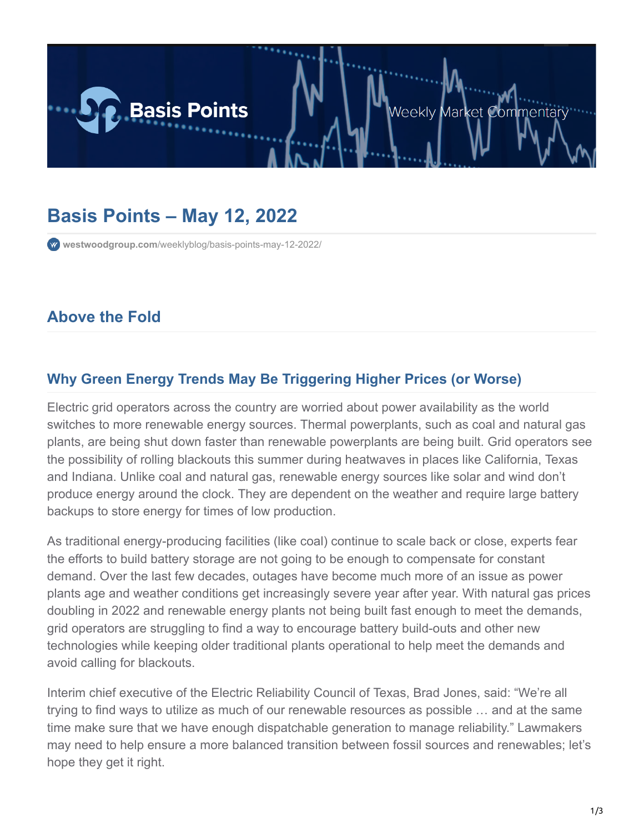

# **Basis Points – May 12, 2022**

**westwoodgroup.com**[/weeklyblog/basis-points-may-12-2022/](https://westwoodgroup.com/weeklyblog/basis-points-may-12-2022/)

## **Above the Fold**

#### **Why Green Energy Trends May Be Triggering Higher Prices (or Worse)**

Electric grid operators across the country are worried about power availability as the world switches to more renewable energy sources. Thermal powerplants, such as coal and natural gas plants, are being shut down faster than renewable powerplants are being built. Grid operators see the possibility of rolling blackouts this summer during heatwaves in places like California, Texas and Indiana. Unlike coal and natural gas, renewable energy sources like solar and wind don't produce energy around the clock. They are dependent on the weather and require large battery backups to store energy for times of low production.

As traditional energy-producing facilities (like coal) continue to scale back or close, experts fear the efforts to build battery storage are not going to be enough to compensate for constant demand. Over the last few decades, outages have become much more of an issue as power plants age and weather conditions get increasingly severe year after year. With natural gas prices doubling in 2022 and renewable energy plants not being built fast enough to meet the demands, grid operators are struggling to find a way to encourage battery build-outs and other new technologies while keeping older traditional plants operational to help meet the demands and avoid calling for blackouts.

Interim chief executive of the Electric Reliability Council of Texas, Brad Jones, said: "We're all trying to find ways to utilize as much of our renewable resources as possible … and at the same time make sure that we have enough dispatchable generation to manage reliability." Lawmakers may need to help ensure a more balanced transition between fossil sources and renewables; let's hope they get it right.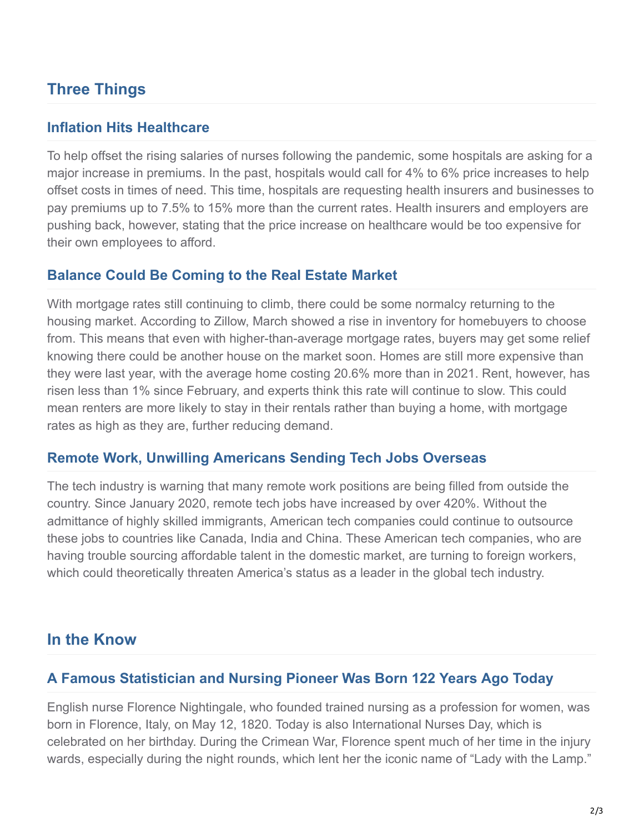## **Three Things**

#### **Inflation Hits Healthcare**

To help offset the rising salaries of nurses following the pandemic, some hospitals are asking for a major increase in premiums. In the past, hospitals would call for 4% to 6% price increases to help offset costs in times of need. This time, hospitals are requesting health insurers and businesses to pay premiums up to 7.5% to 15% more than the current rates. Health insurers and employers are pushing back, however, stating that the price increase on healthcare would be too expensive for their own employees to afford.

#### **Balance Could Be Coming to the Real Estate Market**

With mortgage rates still continuing to climb, there could be some normalcy returning to the housing market. According to Zillow, March showed a rise in inventory for homebuyers to choose from. This means that even with higher-than-average mortgage rates, buyers may get some relief knowing there could be another house on the market soon. Homes are still more expensive than they were last year, with the average home costing 20.6% more than in 2021. Rent, however, has risen less than 1% since February, and experts think this rate will continue to slow. This could mean renters are more likely to stay in their rentals rather than buying a home, with mortgage rates as high as they are, further reducing demand.

#### **Remote Work, Unwilling Americans Sending Tech Jobs Overseas**

The tech industry is warning that many remote work positions are being filled from outside the country. Since January 2020, remote tech jobs have increased by over 420%. Without the admittance of highly skilled immigrants, American tech companies could continue to outsource these jobs to countries like Canada, India and China. These American tech companies, who are having trouble sourcing affordable talent in the domestic market, are turning to foreign workers, which could theoretically threaten America's status as a leader in the global tech industry.

### **In the Know**

### **A Famous Statistician and Nursing Pioneer Was Born 122 Years Ago Today**

English nurse Florence Nightingale, who founded trained nursing as a profession for women, was born in Florence, Italy, on May 12, 1820. Today is also International Nurses Day, which is celebrated on her birthday. During the Crimean War, Florence spent much of her time in the injury wards, especially during the night rounds, which lent her the iconic name of "Lady with the Lamp."